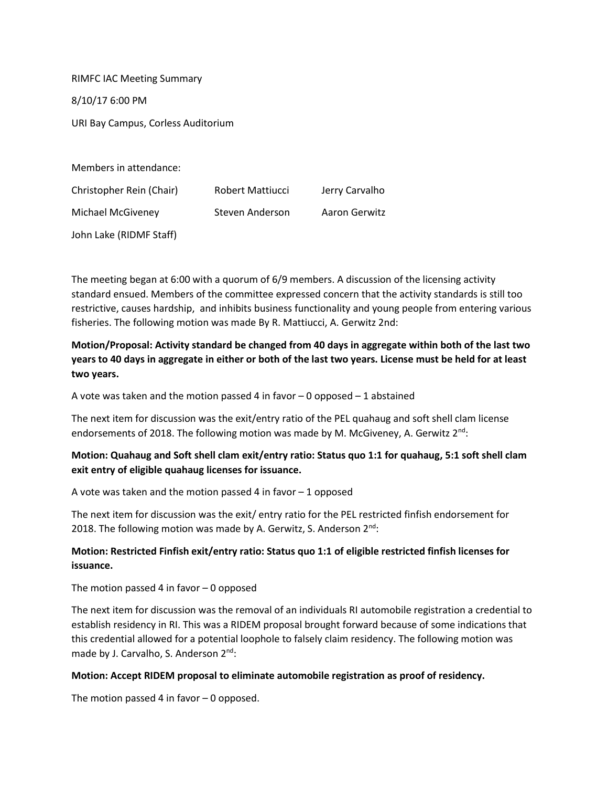RIMFC IAC Meeting Summary 8/10/17 6:00 PM URI Bay Campus, Corless Auditorium

Members in attendance: Christopher Rein (Chair) Robert Mattiucci Jerry Carvalho Michael McGiveney Steven Anderson Aaron Gerwitz John Lake (RIDMF Staff)

The meeting began at 6:00 with a quorum of 6/9 members. A discussion of the licensing activity standard ensued. Members of the committee expressed concern that the activity standards is still too restrictive, causes hardship, and inhibits business functionality and young people from entering various fisheries. The following motion was made By R. Mattiucci, A. Gerwitz 2nd:

**Motion/Proposal: Activity standard be changed from 40 days in aggregate within both of the last two years to 40 days in aggregate in either or both of the last two years. License must be held for at least two years.**

A vote was taken and the motion passed 4 in favor  $-0$  opposed  $-1$  abstained

The next item for discussion was the exit/entry ratio of the PEL quahaug and soft shell clam license endorsements of 2018. The following motion was made by M. McGiveney, A. Gerwitz  $2<sup>nd</sup>$ :

## **Motion: Quahaug and Soft shell clam exit/entry ratio: Status quo 1:1 for quahaug, 5:1 soft shell clam exit entry of eligible quahaug licenses for issuance.**

A vote was taken and the motion passed 4 in favor  $-1$  opposed

The next item for discussion was the exit/ entry ratio for the PEL restricted finfish endorsement for 2018. The following motion was made by A. Gerwitz, S. Anderson  $2^{nd}$ :

## **Motion: Restricted Finfish exit/entry ratio: Status quo 1:1 of eligible restricted finfish licenses for issuance.**

The motion passed 4 in favor  $-0$  opposed

The next item for discussion was the removal of an individuals RI automobile registration a credential to establish residency in RI. This was a RIDEM proposal brought forward because of some indications that this credential allowed for a potential loophole to falsely claim residency. The following motion was made by J. Carvalho, S. Anderson 2<sup>nd</sup>:

## **Motion: Accept RIDEM proposal to eliminate automobile registration as proof of residency.**

The motion passed 4 in favor – 0 opposed.